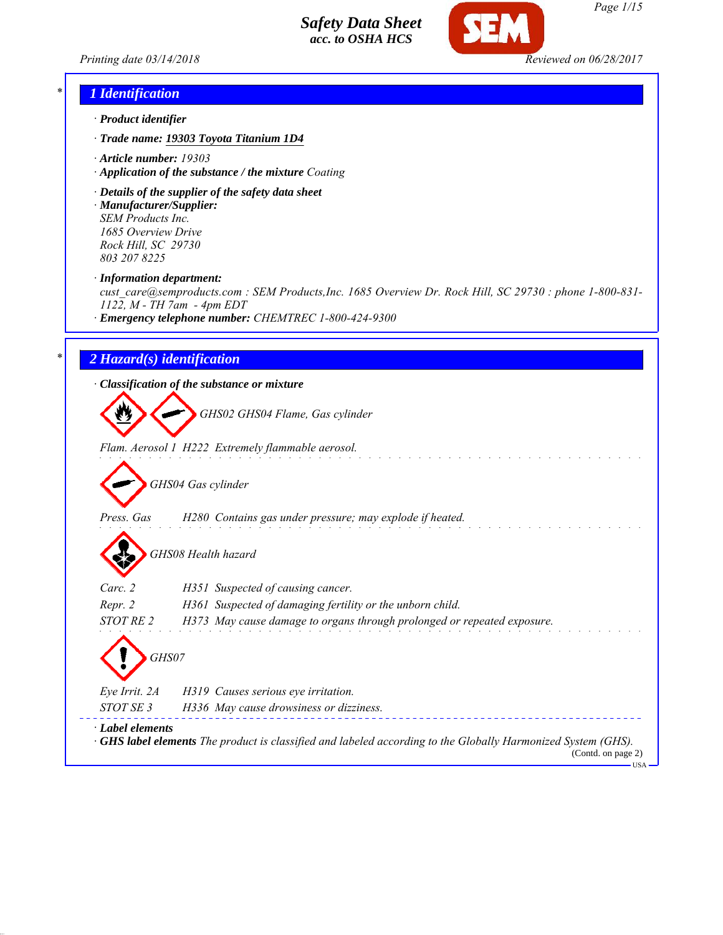*Printing date 03/14/2018 Reviewed on 06/28/2017*



#### *\* 1 Identification*

- *· Product identifier*
- *· Trade name: 19303 Toyota Titanium 1D4*
- *· Article number: 19303*
- *· Application of the substance / the mixture Coating*
- *· Details of the supplier of the safety data sheet · Manufacturer/Supplier: SEM Products Inc.*

*1685 Overview Drive Rock Hill, SC 29730 803 207 8225*

*· Information department:*

*cust\_care@semproducts.com : SEM Products,Inc. 1685 Overview Dr. Rock Hill, SC 29730 : phone 1-800-831- 1122, M - TH 7am - 4pm EDT*

*· Emergency telephone number: CHEMTREC 1-800-424-9300*

#### *\* 2 Hazard(s) identification*

*· Classification of the substance or mixture*

*GHS02 GHS04 Flame, Gas cylinder*

*Flam. Aerosol 1 H222 Extremely flammable aerosol.*

*GHS04 Gas cylinder*

*Press. Gas H280 Contains gas under pressure; may explode if heated.*

*GHS08 Health hazard*

| Carc. 2          | H351 Suspected of causing cancer.                                       |
|------------------|-------------------------------------------------------------------------|
| Repr. 2          | H361 Suspected of damaging fertility or the unborn child.               |
| <i>STOT RE 2</i> | H373 May cause damage to organs through prolonged or repeated exposure. |
|                  |                                                                         |

*GHS07*

*Eye Irrit. 2A H319 Causes serious eye irritation. STOT SE 3 H336 May cause drowsiness or dizziness.*

*· Label elements*

*· GHS label elements The product is classified and labeled according to the Globally Harmonized System (GHS).*

(Contd. on page 2) USA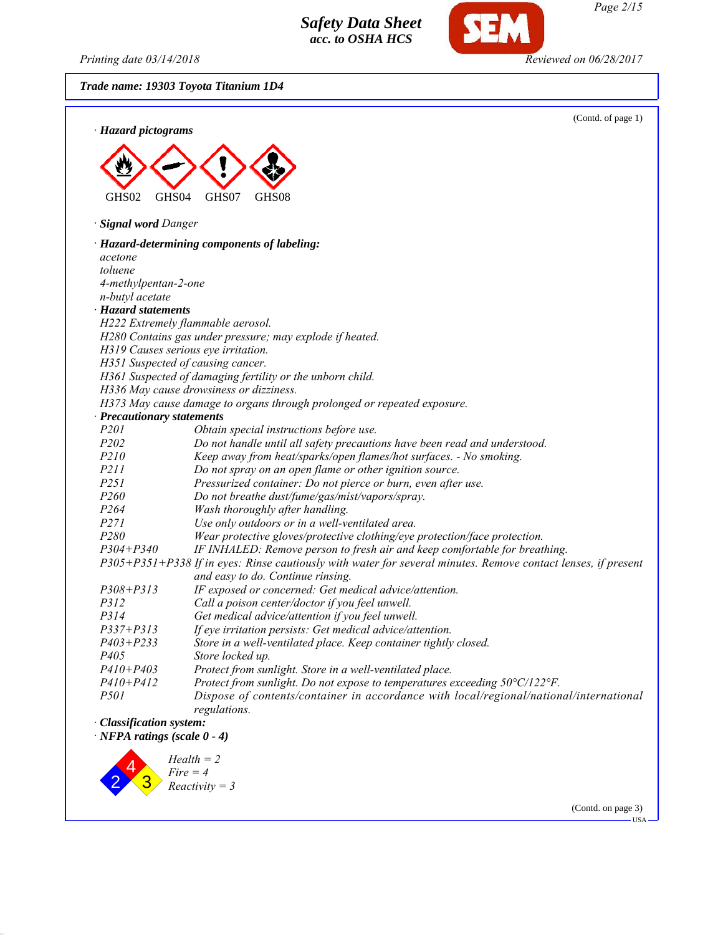*Printing date 03/14/2018 Reviewed on 06/28/2017*

*Trade name: 19303 Toyota Titanium 1D4*





(Contd. on page 3)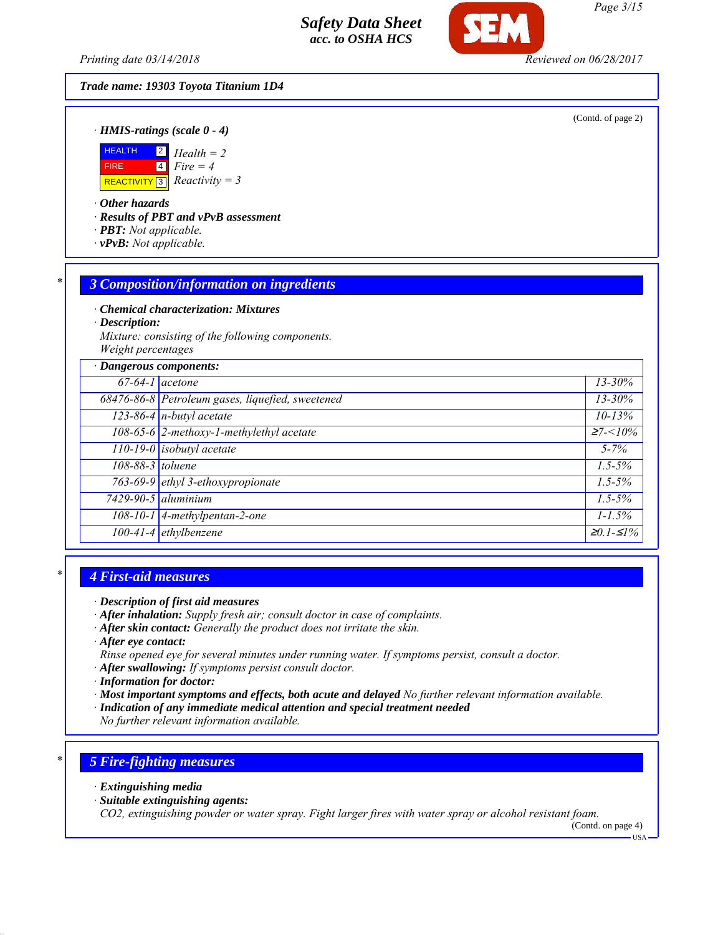*Printing date 03/14/2018 Reviewed on 06/28/2017*

# *Trade name: 19303 Toyota Titanium 1D4*

(Contd. of page 2)

*· HMIS-ratings (scale 0 - 4)*



*· Other hazards*

*· Results of PBT and vPvB assessment*

- *· PBT: Not applicable.*
- *· vPvB: Not applicable.*

# *\* 3 Composition/information on ingredients*

*· Chemical characterization: Mixtures*

*· Description:*

*Mixture: consisting of the following components. Weight percentages*

| · Dangerous components: |                                                  |                           |
|-------------------------|--------------------------------------------------|---------------------------|
| $67-64-1$ acetone       |                                                  | $13 - 30\%$               |
|                         | 68476-86-8 Petroleum gases, liquefied, sweetened | $13 - 30\%$               |
|                         | $\sqrt{123-86-4}$ n-butyl acetate                | $10 - 13%$                |
|                         | 108-65-6 2-methoxy-1-methylethyl acetate         | $\overline{\geq}7 < 10\%$ |
|                         | $110-19-0$ isobutyl acetate                      | $5 - 7\%$                 |
| 108-88-3 toluene        |                                                  | $1.5 - 5\%$               |
|                         | 763-69-9 ethyl 3-ethoxypropionate                | $1.5 - 5\%$               |
|                         | $7429 - 90 - 5$ aluminium                        | $1.5 - 5\%$               |
|                         | 108-10-1 4-methylpentan-2-one                    | $1 - 1.5\%$               |
|                         | $100-41-4$ ethylbenzene                          | $\geq 0.1 - 51\%$         |

# *\* 4 First-aid measures*

- *· After inhalation: Supply fresh air; consult doctor in case of complaints.*
- *· After skin contact: Generally the product does not irritate the skin.*
- *· After eye contact:*
- *Rinse opened eye for several minutes under running water. If symptoms persist, consult a doctor.*
- *· After swallowing: If symptoms persist consult doctor.*
- *· Information for doctor:*
- *· Most important symptoms and effects, both acute and delayed No further relevant information available.*
- *· Indication of any immediate medical attention and special treatment needed*

*No further relevant information available.*

# *\* 5 Fire-fighting measures*

- *· Extinguishing media*
- *· Suitable extinguishing agents:*

*CO2, extinguishing powder or water spray. Fight larger fires with water spray or alcohol resistant foam.*

(Contd. on page 4)

*<sup>·</sup> Description of first aid measures*

USA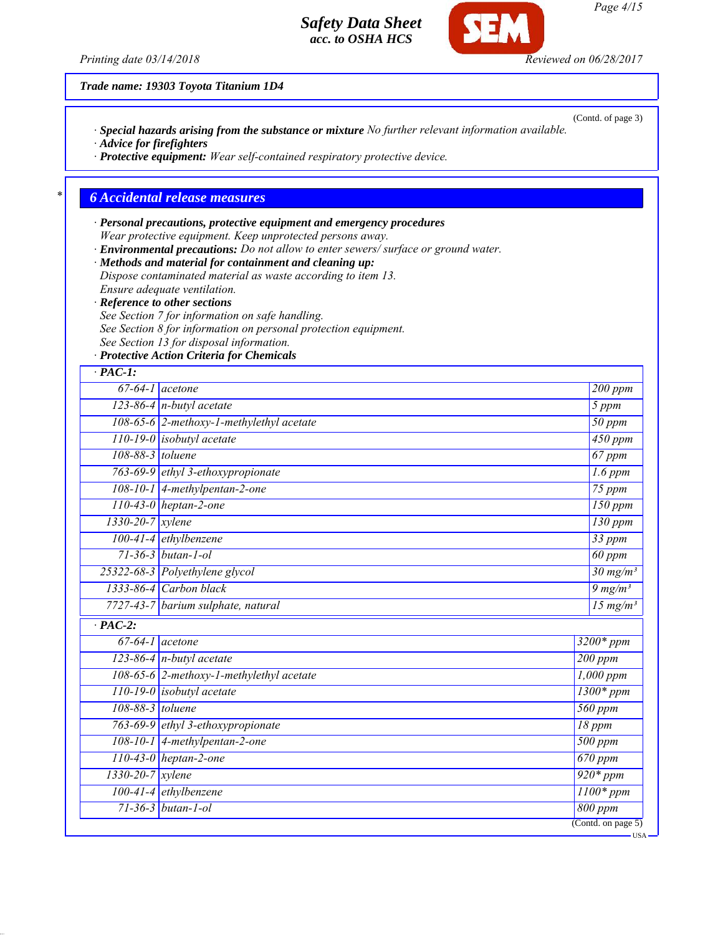*· Special hazards arising from the substance or mixture No further relevant information available.*

*· Protective equipment: Wear self-contained respiratory protective device.*

*Printing date 03/14/2018 Reviewed on 06/28/2017*

*· Advice for firefighters*

**SEM** 

*Trade name: 19303 Toyota Titanium 1D4*

*\* 6 Accidental release measures*

| · Reference to other sections<br>See Section 7 for information on safe handling.<br>See Section 8 for information on personal protection equipment.<br>See Section 13 for disposal information.<br>· Protective Action Criteria for Chemicals<br>$67-64-1$ acetone<br>$123-86-4$ n-butyl acetate<br>108-65-6 2-methoxy-1-methylethyl acetate<br>$110-19-0$ isobutyl acetate<br>108-88-3 toluene<br>763-69-9 ethyl 3-ethoxypropionate<br>108-10-1 4-methylpentan-2-one<br>$110-43-0$ heptan-2-one<br>$1330 - 20 - 7$ xylene<br>100-41-4 ethylbenzene<br>$71 - 36 - 3$ butan-1-ol<br>25322-68-3 Polyethylene glycol<br>1333-86-4 Carbon black<br>7727-43-7 barium sulphate, natural<br>$\overline{67-64-1}$ acetone<br>123-86-4 $n$ -butyl acetate<br>108-65-6 2-methoxy-1-methylethyl acetate<br>$110-19-0$ isobutyl acetate<br>108-88-3 toluene | Dispose contaminated material as waste according to item 13.<br>Ensure adequate ventilation. |                                        |                               |
|-------------------------------------------------------------------------------------------------------------------------------------------------------------------------------------------------------------------------------------------------------------------------------------------------------------------------------------------------------------------------------------------------------------------------------------------------------------------------------------------------------------------------------------------------------------------------------------------------------------------------------------------------------------------------------------------------------------------------------------------------------------------------------------------------------------------------------------------------|----------------------------------------------------------------------------------------------|----------------------------------------|-------------------------------|
|                                                                                                                                                                                                                                                                                                                                                                                                                                                                                                                                                                                                                                                                                                                                                                                                                                                 |                                                                                              |                                        |                               |
|                                                                                                                                                                                                                                                                                                                                                                                                                                                                                                                                                                                                                                                                                                                                                                                                                                                 |                                                                                              |                                        |                               |
| $\overline{PAC-1}$ :                                                                                                                                                                                                                                                                                                                                                                                                                                                                                                                                                                                                                                                                                                                                                                                                                            |                                                                                              |                                        |                               |
| $\cdot$ PAC-2:                                                                                                                                                                                                                                                                                                                                                                                                                                                                                                                                                                                                                                                                                                                                                                                                                                  |                                                                                              |                                        |                               |
|                                                                                                                                                                                                                                                                                                                                                                                                                                                                                                                                                                                                                                                                                                                                                                                                                                                 |                                                                                              |                                        |                               |
|                                                                                                                                                                                                                                                                                                                                                                                                                                                                                                                                                                                                                                                                                                                                                                                                                                                 |                                                                                              |                                        | 200 ppm                       |
|                                                                                                                                                                                                                                                                                                                                                                                                                                                                                                                                                                                                                                                                                                                                                                                                                                                 |                                                                                              |                                        | 5 ppm                         |
|                                                                                                                                                                                                                                                                                                                                                                                                                                                                                                                                                                                                                                                                                                                                                                                                                                                 |                                                                                              |                                        | $\overline{50}$ ppm           |
|                                                                                                                                                                                                                                                                                                                                                                                                                                                                                                                                                                                                                                                                                                                                                                                                                                                 |                                                                                              |                                        | $\frac{1}{450}$ ppm           |
|                                                                                                                                                                                                                                                                                                                                                                                                                                                                                                                                                                                                                                                                                                                                                                                                                                                 |                                                                                              |                                        | 67 ppm                        |
|                                                                                                                                                                                                                                                                                                                                                                                                                                                                                                                                                                                                                                                                                                                                                                                                                                                 |                                                                                              |                                        | $1.6$ ppm                     |
|                                                                                                                                                                                                                                                                                                                                                                                                                                                                                                                                                                                                                                                                                                                                                                                                                                                 |                                                                                              |                                        | $75$ ppm                      |
|                                                                                                                                                                                                                                                                                                                                                                                                                                                                                                                                                                                                                                                                                                                                                                                                                                                 |                                                                                              |                                        | $150$ ppm                     |
|                                                                                                                                                                                                                                                                                                                                                                                                                                                                                                                                                                                                                                                                                                                                                                                                                                                 |                                                                                              |                                        | 130 ppm                       |
|                                                                                                                                                                                                                                                                                                                                                                                                                                                                                                                                                                                                                                                                                                                                                                                                                                                 |                                                                                              |                                        | $33$ ppm                      |
|                                                                                                                                                                                                                                                                                                                                                                                                                                                                                                                                                                                                                                                                                                                                                                                                                                                 |                                                                                              |                                        | 60 ppm                        |
|                                                                                                                                                                                                                                                                                                                                                                                                                                                                                                                                                                                                                                                                                                                                                                                                                                                 |                                                                                              |                                        | $\frac{30 \text{ mg/m}^3}{ }$ |
|                                                                                                                                                                                                                                                                                                                                                                                                                                                                                                                                                                                                                                                                                                                                                                                                                                                 |                                                                                              |                                        | $9 \frac{mg}{m^3}$            |
|                                                                                                                                                                                                                                                                                                                                                                                                                                                                                                                                                                                                                                                                                                                                                                                                                                                 |                                                                                              |                                        | 15 $mg/m^3$                   |
|                                                                                                                                                                                                                                                                                                                                                                                                                                                                                                                                                                                                                                                                                                                                                                                                                                                 |                                                                                              |                                        |                               |
|                                                                                                                                                                                                                                                                                                                                                                                                                                                                                                                                                                                                                                                                                                                                                                                                                                                 |                                                                                              | $3200*ppm$                             |                               |
|                                                                                                                                                                                                                                                                                                                                                                                                                                                                                                                                                                                                                                                                                                                                                                                                                                                 |                                                                                              | 200 ppm                                |                               |
|                                                                                                                                                                                                                                                                                                                                                                                                                                                                                                                                                                                                                                                                                                                                                                                                                                                 |                                                                                              | $1,000$ ppm                            |                               |
|                                                                                                                                                                                                                                                                                                                                                                                                                                                                                                                                                                                                                                                                                                                                                                                                                                                 |                                                                                              | $\frac{1300*ppm}{2}$                   |                               |
|                                                                                                                                                                                                                                                                                                                                                                                                                                                                                                                                                                                                                                                                                                                                                                                                                                                 |                                                                                              | $\overline{560}$ ppm                   |                               |
| 763-69-9 ethyl 3-ethoxypropionate                                                                                                                                                                                                                                                                                                                                                                                                                                                                                                                                                                                                                                                                                                                                                                                                               |                                                                                              | 18 ppm                                 |                               |
| $108-10-1$ 4-methylpentan-2-one                                                                                                                                                                                                                                                                                                                                                                                                                                                                                                                                                                                                                                                                                                                                                                                                                 |                                                                                              | 500 ppm                                |                               |
| $110-43-0$ heptan-2-one                                                                                                                                                                                                                                                                                                                                                                                                                                                                                                                                                                                                                                                                                                                                                                                                                         |                                                                                              | $\overline{670}$ ppm                   |                               |
| 1330-20-7 xylene                                                                                                                                                                                                                                                                                                                                                                                                                                                                                                                                                                                                                                                                                                                                                                                                                                |                                                                                              | $920*ppm$                              |                               |
| 100-41-4 ethylbenzene                                                                                                                                                                                                                                                                                                                                                                                                                                                                                                                                                                                                                                                                                                                                                                                                                           |                                                                                              | $1100*ppm$                             |                               |
| $71 - 36 - 3$ butan-1-ol                                                                                                                                                                                                                                                                                                                                                                                                                                                                                                                                                                                                                                                                                                                                                                                                                        |                                                                                              | 800 ppm                                |                               |
|                                                                                                                                                                                                                                                                                                                                                                                                                                                                                                                                                                                                                                                                                                                                                                                                                                                 |                                                                                              | $\overline{(\text{Contd. on page 5})}$ |                               |

(Contd. of page 3)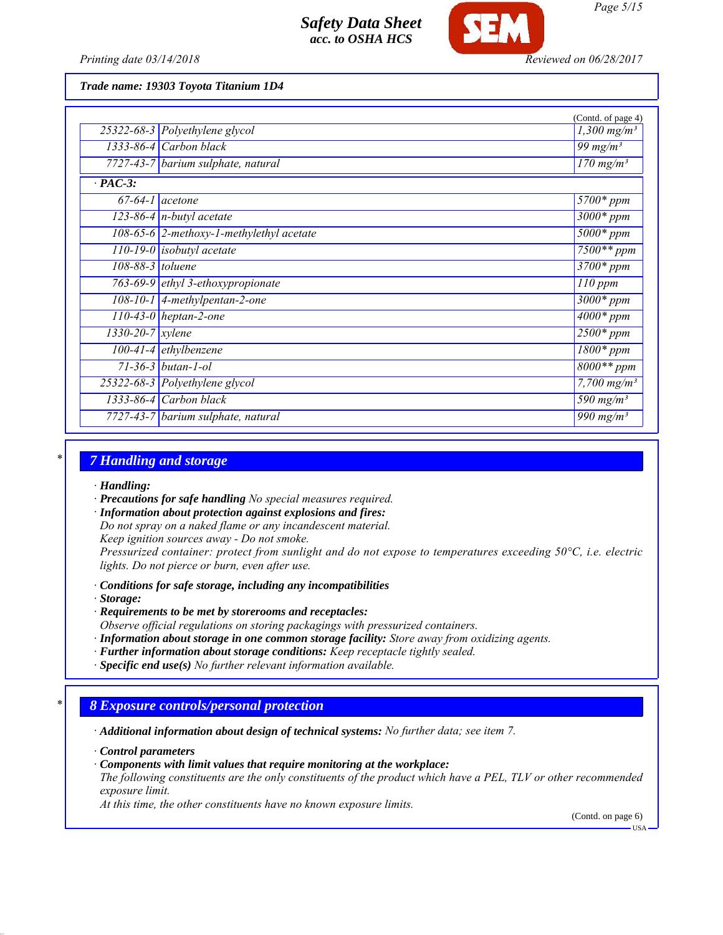

#### *Trade name: 19303 Toyota Titanium 1D4*

|                               |                                            | (Contd. of page 4)                 |
|-------------------------------|--------------------------------------------|------------------------------------|
|                               | 25322-68-3 Polyethylene glycol             | $1,300$ mg/m <sup>3</sup>          |
|                               | $1333-86-4$ Carbon black                   | 99 mg/m <sup>3</sup>               |
|                               | 7727-43-7 barium sulphate, natural         | $\frac{170 \text{ mg}}{m^3}$       |
| $\cdot$ PAC-3:                |                                            |                                    |
| $67-64-1$ acetone             |                                            | $5700*$ ppm                        |
|                               | $123-86-4$ n-butyl acetate                 | $3000*$ ppm                        |
|                               | $108-65-6$ 2-methoxy-1-methylethyl acetate | $5000*$ ppm                        |
|                               | $\overline{110-19-0}$ isobutyl acetate     | $7500**$ ppm                       |
| $108-88-3$ toluene            |                                            | $3700*$ ppm                        |
|                               | 763-69-9 ethyl 3-ethoxypropionate          | $110$ ppm                          |
|                               | $108-10-1$ 4-methylpentan-2-one            | $3000*$ ppm                        |
|                               | $110-43-0$ heptan-2-one                    | $4000*ppm$                         |
| $1330 - 20 - 7$ <i>xylene</i> |                                            | $2500*$ ppm                        |
|                               | $100-41-4$ ethylbenzene                    | $\overline{1800}$ * ppm            |
|                               | $71 - 36 - 3$ butan-1-ol                   | $8000**$ ppm                       |
|                               | 25322-68-3 Polyethylene glycol             | $7,700$ mg/m <sup>3</sup>          |
|                               | $1333-86-4$ Carbon black                   | 590 mg/ $m^3$                      |
|                               | 7727-43-7 barium sulphate, natural         | $\overline{990}$ mg/m <sup>3</sup> |
|                               |                                            |                                    |

### *\* 7 Handling and storage*

#### *· Handling:*

*· Precautions for safe handling No special measures required.*

*· Information about protection against explosions and fires:*

*Do not spray on a naked flame or any incandescent material.*

*Keep ignition sources away - Do not smoke.*

*Pressurized container: protect from sunlight and do not expose to temperatures exceeding 50°C, i.e. electric lights. Do not pierce or burn, even after use.*

- *· Conditions for safe storage, including any incompatibilities*
- *· Storage:*
- *· Requirements to be met by storerooms and receptacles:*
- *Observe official regulations on storing packagings with pressurized containers.*
- *· Information about storage in one common storage facility: Store away from oxidizing agents.*
- *· Further information about storage conditions: Keep receptacle tightly sealed.*
- *· Specific end use(s) No further relevant information available.*

# *\* 8 Exposure controls/personal protection*

*· Additional information about design of technical systems: No further data; see item 7.*

*· Control parameters*

*· Components with limit values that require monitoring at the workplace:*

*The following constituents are the only constituents of the product which have a PEL, TLV or other recommended exposure limit.*

*At this time, the other constituents have no known exposure limits.*

(Contd. on page 6)

*Page 5/15*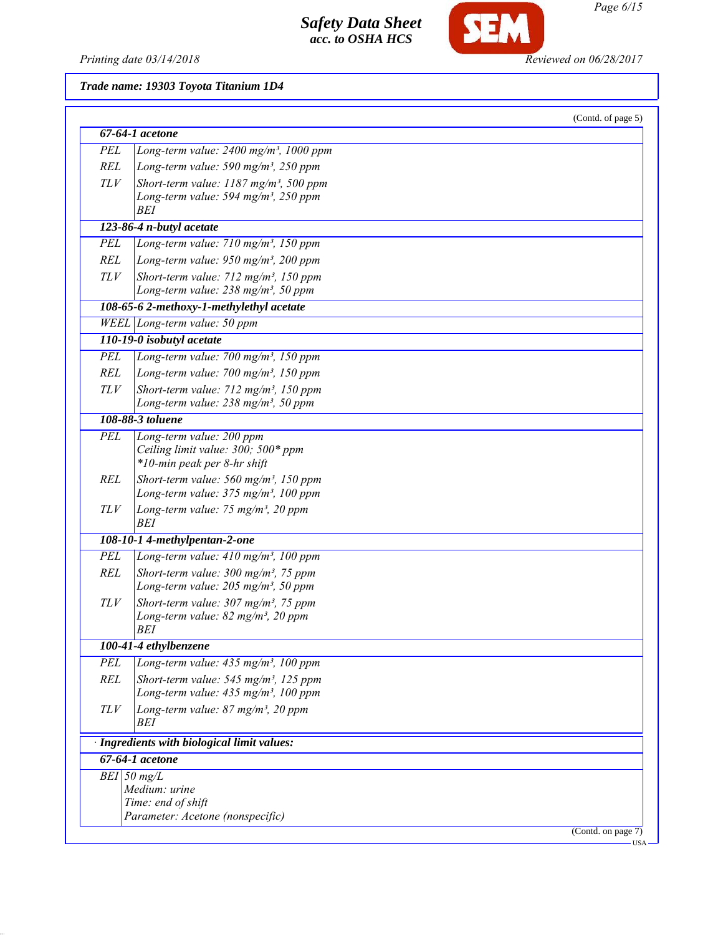

SEM

# *Trade name: 19303 Toyota Titanium 1D4*

|            | $67-64-1$ acetone                                                                                        |  |
|------------|----------------------------------------------------------------------------------------------------------|--|
| PEL        | Long-term value: $2400$ mg/m <sup>3</sup> , 1000 ppm                                                     |  |
| REL        | Long-term value: 590 mg/m <sup>3</sup> , 250 ppm                                                         |  |
|            |                                                                                                          |  |
| TLV        | Short-term value: $1187$ mg/m <sup>3</sup> , 500 ppm<br>Long-term value: 594 mg/m <sup>3</sup> , 250 ppm |  |
|            | <b>BEI</b>                                                                                               |  |
|            | 123-86-4 n-butyl acetate                                                                                 |  |
| PEL        | Long-term value: $710$ mg/m <sup>3</sup> , $150$ ppm                                                     |  |
|            | Long-term value: $950$ mg/m <sup>3</sup> , 200 ppm                                                       |  |
| REL        |                                                                                                          |  |
| TLV        | Short-term value: $712$ mg/m <sup>3</sup> , 150 ppm<br>Long-term value: 238 mg/m <sup>3</sup> , 50 ppm   |  |
|            | 108-65-6 2-methoxy-1-methylethyl acetate                                                                 |  |
|            | WEEL Long-term value: 50 ppm                                                                             |  |
|            | 110-19-0 isobutyl acetate                                                                                |  |
| PEL        | Long-term value: $700$ mg/m <sup>3</sup> , 150 ppm                                                       |  |
| <b>REL</b> | Long-term value: $700$ mg/m <sup>3</sup> , 150 ppm                                                       |  |
| TLV        | Short-term value: 712 mg/m <sup>3</sup> , 150 ppm                                                        |  |
|            | Long-term value: $238$ mg/m <sup>3</sup> , 50 ppm                                                        |  |
|            | 108-88-3 toluene                                                                                         |  |
| <b>PEL</b> | Long-term value: 200 ppm                                                                                 |  |
|            | Ceiling limit value: 300; 500* ppm                                                                       |  |
|            | *10-min peak per 8-hr shift                                                                              |  |
| <b>REL</b> | Short-term value: 560 mg/m <sup>3</sup> , 150 ppm                                                        |  |
|            | Long-term value: 375 mg/m <sup>3</sup> , 100 ppm                                                         |  |
| TLV        | Long-term value: 75 mg/m <sup>3</sup> , 20 ppm<br><b>BEI</b>                                             |  |
|            | 108-10-1 4-methylpentan-2-one                                                                            |  |
| <b>PEL</b> | Long-term value: 410 mg/m <sup>3</sup> , 100 ppm                                                         |  |
| <b>REL</b> | Short-term value: $300$ mg/m <sup>3</sup> , 75 ppm                                                       |  |
|            | Long-term value: $205$ mg/m <sup>3</sup> , 50 ppm                                                        |  |
| TLV        | Short-term value: 307 mg/m <sup>3</sup> , 75 ppm                                                         |  |
|            | Long-term value: 82 mg/m <sup>3</sup> , 20 ppm                                                           |  |
|            | BEI                                                                                                      |  |
|            | 100-41-4 ethylbenzene                                                                                    |  |
| PEL        | Long-term value: 435 mg/m <sup>3</sup> , 100 ppm                                                         |  |
| <b>REL</b> | Short-term value: $545$ mg/m <sup>3</sup> , 125 ppm                                                      |  |
|            | Long-term value: 435 mg/m <sup>3</sup> , 100 ppm                                                         |  |
| TLV        | Long-term value: 87 mg/m <sup>3</sup> , 20 ppm<br>BEI                                                    |  |
|            | · Ingredients with biological limit values:                                                              |  |
|            | 67-64-1 acetone                                                                                          |  |
|            | $BEI$ 50 mg/L                                                                                            |  |
|            | Medium: urine                                                                                            |  |
|            | Time: end of shift                                                                                       |  |
|            | Parameter: Acetone (nonspecific)                                                                         |  |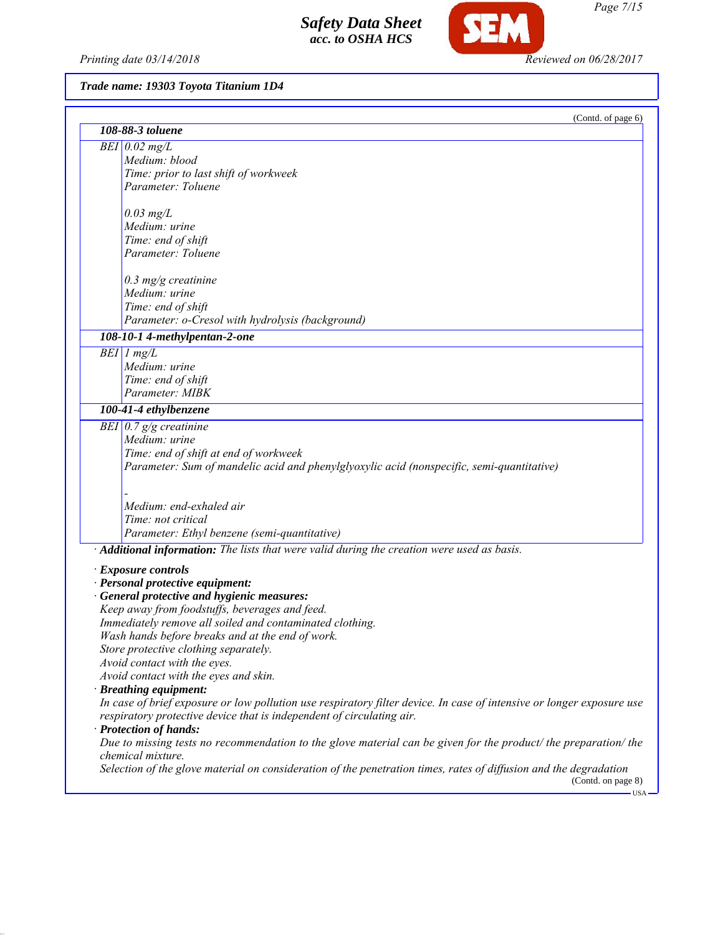*Printing date 03/14/2018 Reviewed on 06/28/2017*

SEM

# *Trade name: 19303 Toyota Titanium 1D4*

|                                                                                                                                        | (Contd. of page 6) |
|----------------------------------------------------------------------------------------------------------------------------------------|--------------------|
| 108-88-3 toluene                                                                                                                       |                    |
| $BEI$ 0.02 mg/L                                                                                                                        |                    |
| Medium: blood                                                                                                                          |                    |
| Time: prior to last shift of workweek                                                                                                  |                    |
| Parameter: Toluene                                                                                                                     |                    |
| $0.03$ mg/L                                                                                                                            |                    |
| Medium: urine                                                                                                                          |                    |
| Time: end of shift                                                                                                                     |                    |
| Parameter: Toluene                                                                                                                     |                    |
|                                                                                                                                        |                    |
| $0.3$ mg/g creatinine                                                                                                                  |                    |
| Medium: urine                                                                                                                          |                    |
| Time: end of shift                                                                                                                     |                    |
| Parameter: o-Cresol with hydrolysis (background)                                                                                       |                    |
| 108-10-1 4-methylpentan-2-one                                                                                                          |                    |
| $BEI$ 1 mg/L                                                                                                                           |                    |
| Medium: urine                                                                                                                          |                    |
| Time: end of shift                                                                                                                     |                    |
| Parameter: MIBK                                                                                                                        |                    |
| 100-41-4 ethylbenzene                                                                                                                  |                    |
| BEI $\vert 0.7 \, \mathrm{g/g}$ creatinine                                                                                             |                    |
| Medium: urine                                                                                                                          |                    |
| Time: end of shift at end of workweek                                                                                                  |                    |
| Parameter: Sum of mandelic acid and phenylglyoxylic acid (nonspecific, semi-quantitative)                                              |                    |
|                                                                                                                                        |                    |
|                                                                                                                                        |                    |
| Medium: end-exhaled air                                                                                                                |                    |
| Time: not critical                                                                                                                     |                    |
| Parameter: Ethyl benzene (semi-quantitative)                                                                                           |                    |
| · Additional information: The lists that were valid during the creation were used as basis.                                            |                    |
| <b>Exposure controls</b>                                                                                                               |                    |
| · Personal protective equipment:                                                                                                       |                    |
| General protective and hygienic measures:                                                                                              |                    |
| Keep away from foodstuffs, beverages and feed.                                                                                         |                    |
| Immediately remove all soiled and contaminated clothing.                                                                               |                    |
| Wash hands before breaks and at the end of work.                                                                                       |                    |
| Store protective clothing separately.                                                                                                  |                    |
| Avoid contact with the eyes.                                                                                                           |                    |
| Avoid contact with the eyes and skin.                                                                                                  |                    |
| · Breathing equipment:                                                                                                                 |                    |
| In case of brief exposure or low pollution use respiratory filter device. In case of intensive or longer exposure use                  |                    |
| respiratory protective device that is independent of circulating air.                                                                  |                    |
| · Protection of hands:                                                                                                                 |                    |
| Due to missing tests no recommendation to the glove material can be given for the product/ the preparation/ the                        |                    |
| chemical mixture.<br>Selection of the glove material on consideration of the penetration times, rates of diffusion and the degradation |                    |
|                                                                                                                                        | (Contd. on page 8) |
|                                                                                                                                        | <b>USA</b>         |

*Page 7/15*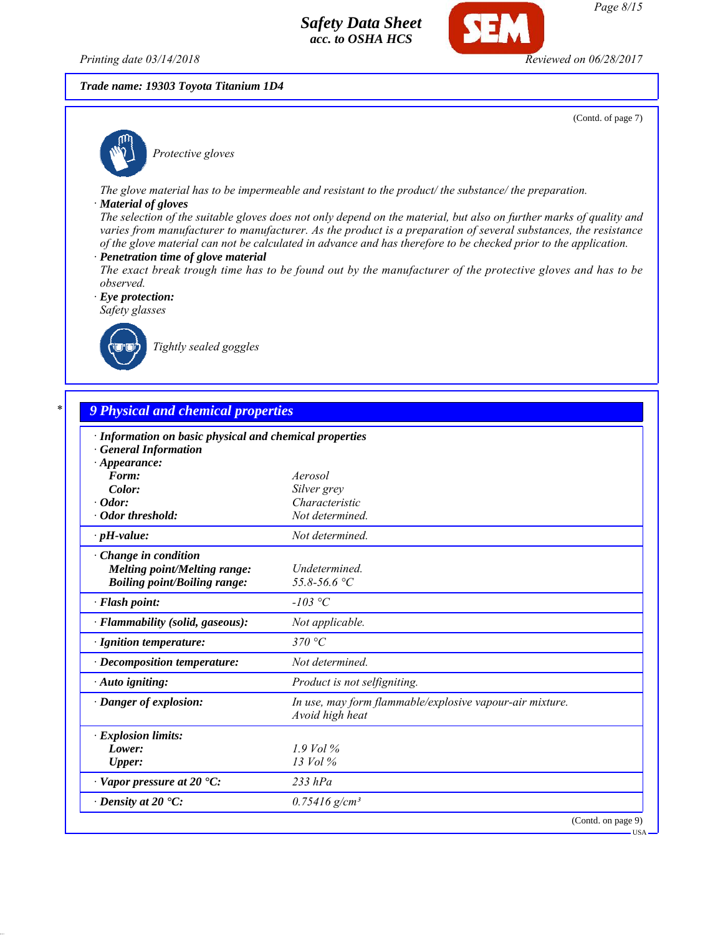*Printing date 03/14/2018 Reviewed on 06/28/2017*

## *Trade name: 19303 Toyota Titanium 1D4*

(Contd. of page 7)



*Protective gloves*

*The glove material has to be impermeable and resistant to the product/ the substance/ the preparation.*

#### *· Material of gloves*

*The selection of the suitable gloves does not only depend on the material, but also on further marks of quality and varies from manufacturer to manufacturer. As the product is a preparation of several substances, the resistance of the glove material can not be calculated in advance and has therefore to be checked prior to the application.*

- *· Penetration time of glove material*
- *The exact break trough time has to be found out by the manufacturer of the protective gloves and has to be observed.*

*· Eye protection: Safety glasses*



*Tightly sealed goggles*

| · Information on basic physical and chemical properties<br><b>General Information</b> |                                                                             |
|---------------------------------------------------------------------------------------|-----------------------------------------------------------------------------|
| $\cdot$ Appearance:                                                                   |                                                                             |
| Form:                                                                                 | Aerosol                                                                     |
| Color:                                                                                | Silver grey                                                                 |
| $\cdot$ Odor:                                                                         | Characteristic                                                              |
| · Odor threshold:                                                                     | Not determined.                                                             |
| $\cdot$ pH-value:                                                                     | Not determined.                                                             |
| Change in condition                                                                   |                                                                             |
| Melting point/Melting range:                                                          | Undetermined.                                                               |
| <b>Boiling point/Boiling range:</b>                                                   | 55.8-56.6 °C                                                                |
| · Flash point:                                                                        | $-103$ °C                                                                   |
| · Flammability (solid, gaseous):                                                      | Not applicable.                                                             |
| · Ignition temperature:                                                               | 370 °C                                                                      |
| · Decomposition temperature:                                                          | Not determined.                                                             |
| · Auto igniting:                                                                      | Product is not selfigniting.                                                |
| · Danger of explosion:                                                                | In use, may form flammable/explosive vapour-air mixture.<br>Avoid high heat |
| · Explosion limits:                                                                   |                                                                             |
| Lower:                                                                                | $1.9$ Vol $\%$                                                              |
| <b>Upper:</b>                                                                         | $13$ Vol $\%$                                                               |
| $\cdot$ Vapor pressure at 20 $\cdot$ C:                                               | $233$ $hPa$                                                                 |
| $\cdot$ Density at 20 $\textdegree$ C:                                                | $0.75416$ g/cm <sup>3</sup>                                                 |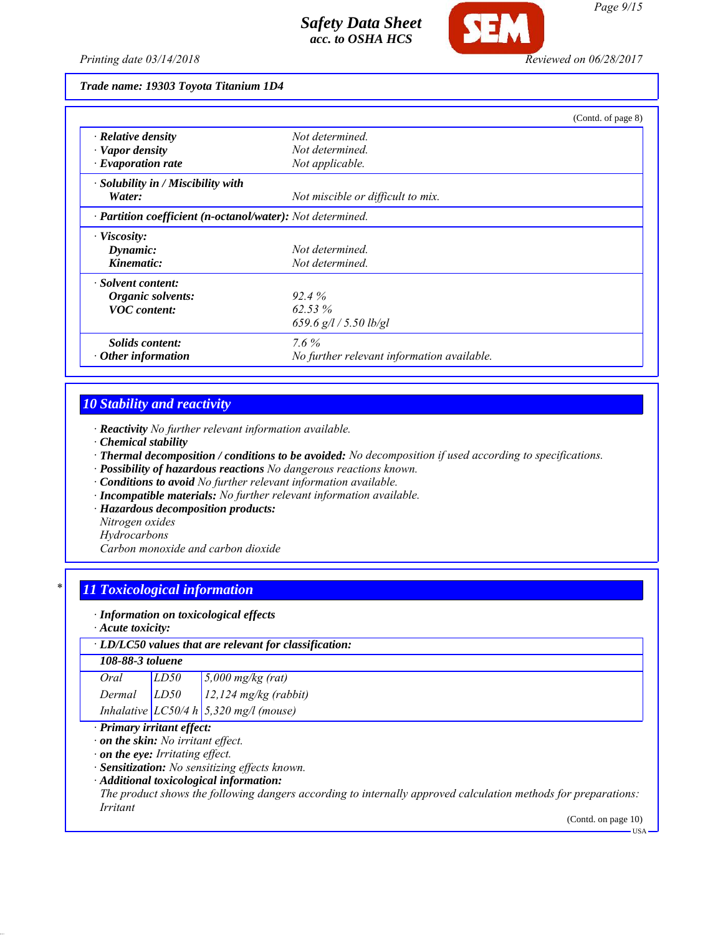

#### *Trade name: 19303 Toyota Titanium 1D4*

|                                                            |                                            | (Contd. of page 8) |
|------------------------------------------------------------|--------------------------------------------|--------------------|
| $\cdot$ Relative density                                   | Not determined.                            |                    |
| $\cdot$ Vapor density                                      | Not determined.                            |                    |
| $\cdot$ Evaporation rate                                   | Not applicable.                            |                    |
| · Solubility in / Miscibility with                         |                                            |                    |
| Water:                                                     | Not miscible or difficult to mix.          |                    |
| · Partition coefficient (n-octanol/water): Not determined. |                                            |                    |
| · Viscosity:                                               |                                            |                    |
| Dynamic:                                                   | Not determined.                            |                    |
| Kinematic:                                                 | Not determined.                            |                    |
| · Solvent content:                                         |                                            |                    |
| Organic solvents:                                          | 92.4%                                      |                    |
| <b>VOC</b> content:                                        | $62.53\%$                                  |                    |
|                                                            | 659.6 $g/l / 5.50$ lb/gl                   |                    |
| <i>Solids content:</i>                                     | $7.6\%$                                    |                    |
| Other information                                          | No further relevant information available. |                    |

# *10 Stability and reactivity*

*· Reactivity No further relevant information available.*

- *· Chemical stability*
- *· Thermal decomposition / conditions to be avoided: No decomposition if used according to specifications.*
- *· Possibility of hazardous reactions No dangerous reactions known.*
- *· Conditions to avoid No further relevant information available.*
- *· Incompatible materials: No further relevant information available.*
- *· Hazardous decomposition products:*
- *Nitrogen oxides*
- *Hydrocarbons*

*Carbon monoxide and carbon dioxide*

# *\* 11 Toxicological information*

#### *· Information on toxicological effects*

*· Acute toxicity:*

### *· LD/LC50 values that are relevant for classification:*

# *108-88-3 toluene*

| Oral   | LD50 | $\frac{5,000 \text{ mg/kg}}{(\text{rat})}$     |
|--------|------|------------------------------------------------|
| Dermal | LD50 | $12.124$ mg/kg (rabbit)                        |
|        |      | Inhalative $LC50/4 h \, 5,320 \, mg/l$ (mouse) |

# *· Primary irritant effect:*

*· on the skin: No irritant effect.*

*· on the eye: Irritating effect.*

*· Sensitization: No sensitizing effects known.*

*· Additional toxicological information:*

*The product shows the following dangers according to internally approved calculation methods for preparations: Irritant*

(Contd. on page 10)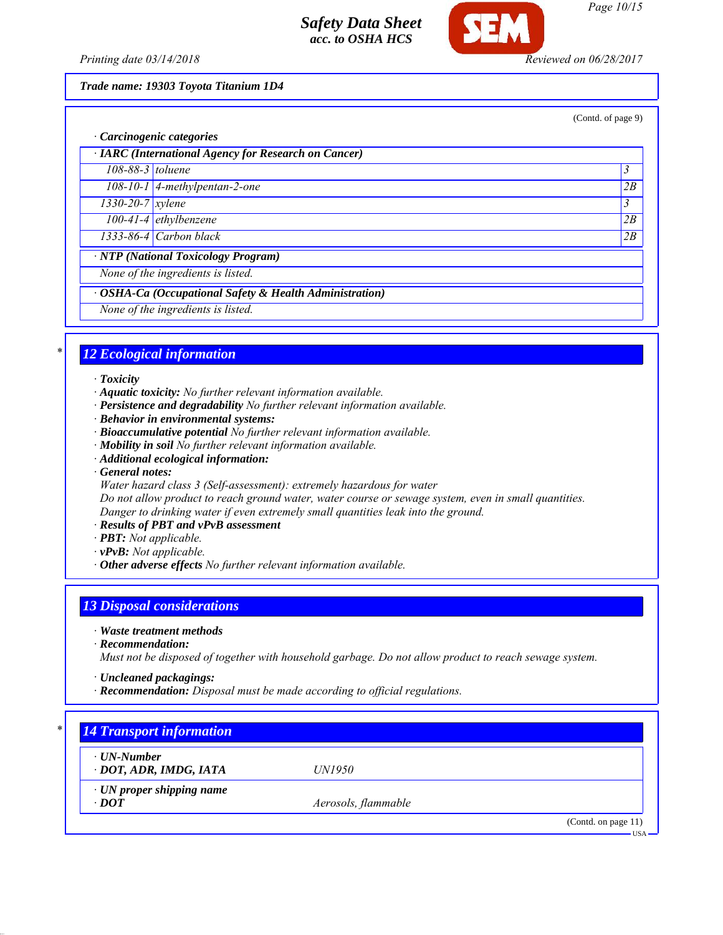

*Page 10/15*

*Printing date 03/14/2018 Reviewed on 06/28/2017*

*Trade name: 19303 Toyota Titanium 1D4*

(Contd. of page 9)

| · Carcinogenic categories                            |                                                         |                |
|------------------------------------------------------|---------------------------------------------------------|----------------|
| · IARC (International Agency for Research on Cancer) |                                                         |                |
| $108-88-3$ toluene                                   |                                                         | $\mathfrak{Z}$ |
|                                                      | $108-10-1$ 4-methylpentan-2-one                         | 2B             |
| $1330 - 20 - 7$ <i>xylene</i>                        |                                                         | $\mathfrak{Z}$ |
|                                                      | $100-41-4$ ethylbenzene                                 | 2B             |
|                                                      | $1333-86-4$ Carbon black                                | 2B             |
|                                                      | <b>NTP</b> (National Toxicology Program)                |                |
| None of the ingredients is listed.                   |                                                         |                |
|                                                      | · OSHA-Ca (Occupational Safety & Health Administration) |                |
|                                                      | None of the ingredients is listed.                      |                |

# *\* 12 Ecological information*

*· Toxicity*

- *· Aquatic toxicity: No further relevant information available.*
- *· Persistence and degradability No further relevant information available.*
- *· Behavior in environmental systems:*
- *· Bioaccumulative potential No further relevant information available.*
- *· Mobility in soil No further relevant information available.*
- *· Additional ecological information:*
- *· General notes:*
- *Water hazard class 3 (Self-assessment): extremely hazardous for water*

*Do not allow product to reach ground water, water course or sewage system, even in small quantities. Danger to drinking water if even extremely small quantities leak into the ground.*

- *· Results of PBT and vPvB assessment*
- *· PBT: Not applicable.*
- *· vPvB: Not applicable.*
- *· Other adverse effects No further relevant information available.*

# *13 Disposal considerations*

*· Waste treatment methods*

*· Recommendation:*

*Must not be disposed of together with household garbage. Do not allow product to reach sewage system.*

- *· Uncleaned packagings:*
- *· Recommendation: Disposal must be made according to official regulations.*

| $\cdot$ UN-Number               |                     |  |
|---------------------------------|---------------------|--|
| · DOT, ADR, IMDG, IATA          | <i>UN1950</i>       |  |
| $\cdot$ UN proper shipping name |                     |  |
| $\cdot$ DOT                     | Aerosols, flammable |  |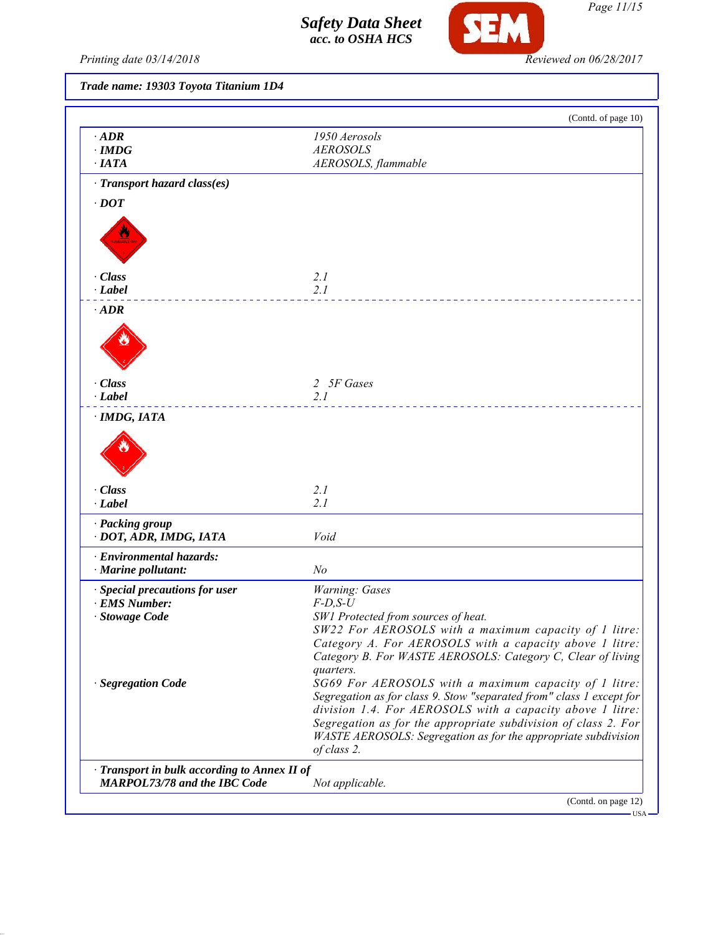

*Page 11/15*

*Printing date 03/14/2018 Reviewed on 06/28/2017*

*Trade name: 19303 Toyota Titanium 1D4*

| $\cdot$ ADR<br>$\cdot$ IMDG<br>$\cdot$ IATA                                         | 1950 Aerosols<br><b>AEROSOLS</b><br>AEROSOLS, flammable                                                                                                                                                                                                                                                                                                              |
|-------------------------------------------------------------------------------------|----------------------------------------------------------------------------------------------------------------------------------------------------------------------------------------------------------------------------------------------------------------------------------------------------------------------------------------------------------------------|
| · Transport hazard class(es)                                                        |                                                                                                                                                                                                                                                                                                                                                                      |
| $\cdot$ DOT                                                                         |                                                                                                                                                                                                                                                                                                                                                                      |
|                                                                                     |                                                                                                                                                                                                                                                                                                                                                                      |
| $\cdot$ Class                                                                       | 2.1                                                                                                                                                                                                                                                                                                                                                                  |
| $\cdot$ Label                                                                       | 2.1                                                                                                                                                                                                                                                                                                                                                                  |
| $\cdot$ ADR                                                                         |                                                                                                                                                                                                                                                                                                                                                                      |
| · Class                                                                             | 2 5F Gases                                                                                                                                                                                                                                                                                                                                                           |
| $\cdot$ <i>Label</i>                                                                | 2.1                                                                                                                                                                                                                                                                                                                                                                  |
|                                                                                     |                                                                                                                                                                                                                                                                                                                                                                      |
| · Class<br>· Label                                                                  | 2.1<br>2.1                                                                                                                                                                                                                                                                                                                                                           |
| · Packing group<br>· DOT, ADR, IMDG, IATA                                           | Void                                                                                                                                                                                                                                                                                                                                                                 |
| · Environmental hazards:<br>· Marine pollutant:                                     | No                                                                                                                                                                                                                                                                                                                                                                   |
| · Special precautions for user                                                      | Warning: Gases                                                                                                                                                                                                                                                                                                                                                       |
| · EMS Number:                                                                       | $F$ -D,S-U                                                                                                                                                                                                                                                                                                                                                           |
| · Stowage Code<br>· Segregation Code                                                | SW1 Protected from sources of heat.<br>SW22 For AEROSOLS with a maximum capacity of 1 litre:<br>Category A. For AEROSOLS with a capacity above 1 litre:<br>Category B. For WASTE AEROSOLS: Category C, Clear of living<br>quarters.<br>SG69 For AEROSOLS with a maximum capacity of 1 litre:<br>Segregation as for class 9. Stow "separated from" class 1 except for |
|                                                                                     | division 1.4. For AEROSOLS with a capacity above 1 litre:<br>Segregation as for the appropriate subdivision of class 2. For<br>WASTE AEROSOLS: Segregation as for the appropriate subdivision<br>of class 2.                                                                                                                                                         |
| · Transport in bulk according to Annex II of<br><b>MARPOL73/78 and the IBC Code</b> | Not applicable.                                                                                                                                                                                                                                                                                                                                                      |
|                                                                                     | (Contd. on page 12)                                                                                                                                                                                                                                                                                                                                                  |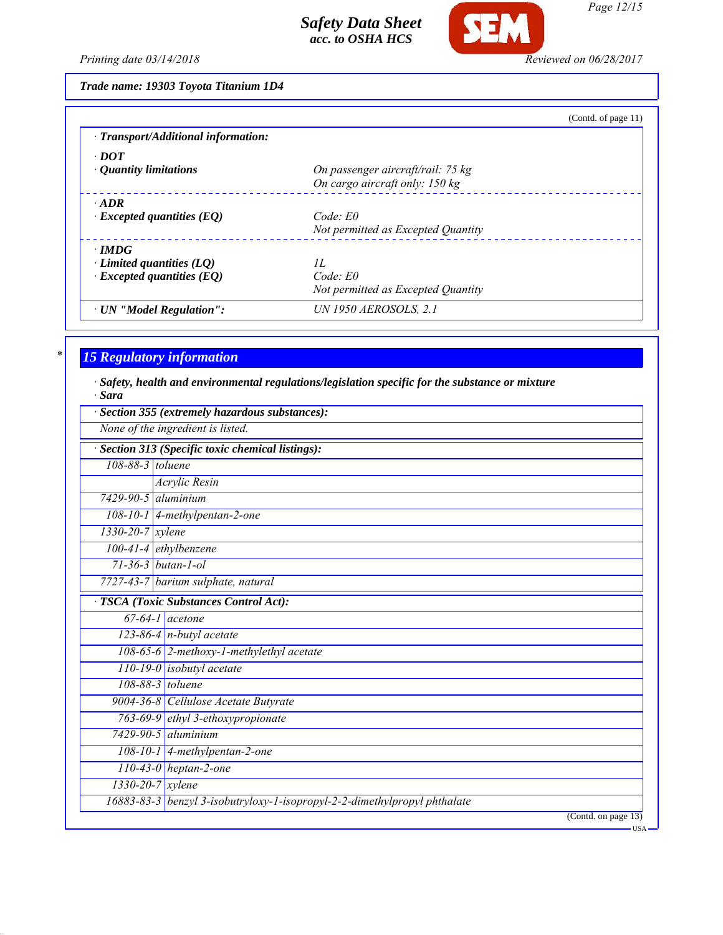

*Page 12/15*

*Printing date 03/14/2018 Reviewed on 06/28/2017*

| Trade name: 19303 Toyota Titanium 1D4 |  |  |  |
|---------------------------------------|--|--|--|
|---------------------------------------|--|--|--|

|                                     | (Contd. of page $11$ )             |
|-------------------------------------|------------------------------------|
| · Transport/Additional information: |                                    |
| $\cdot$ DOT                         | On passenger aircraft/rail: 75 kg  |
| $\cdot$ Quantity limitations        | On cargo aircraft only: 150 kg     |
| $\cdot$ ADR                         | Code: E0                           |
| $\cdot$ Excepted quantities (EQ)    | Not permitted as Excepted Quantity |
| $\cdot$ IMDG                        | H                                  |
| $\cdot$ Limited quantities (LQ)     | $Code$ $E0$                        |
| $\cdot$ Excepted quantities (EQ)    | Not permitted as Excepted Quantity |
| · UN "Model Regulation":            | <b>UN 1950 AEROSOLS, 2.1</b>       |

# *\* 15 Regulatory information*

*· Safety, health and environmental regulations/legislation specific for the substance or mixture · Sara*

|                        | Section 355 (extremely hazardous substances):<br>None of the ingredient is listed. |
|------------------------|------------------------------------------------------------------------------------|
|                        |                                                                                    |
|                        | Section 313 (Specific toxic chemical listings):                                    |
| 108-88-3 toluene       |                                                                                    |
|                        | <b>Acrylic Resin</b>                                                               |
| 7429-90-5 aluminium    |                                                                                    |
|                        | 108-10-1 4-methylpentan-2-one                                                      |
| $1330 - 20 - 7$ xylene |                                                                                    |
|                        | $100-41-4$ ethylbenzene                                                            |
|                        | $71 - 36 - 3$ butan-1-ol                                                           |
|                        | 7727-43-7 barium sulphate, natural                                                 |
|                        | <b>TSCA</b> (Toxic Substances Control Act):                                        |
|                        | $67-64-1$ acetone                                                                  |
|                        | 123-86-4 $n$ -butyl acetate                                                        |
|                        | 108-65-6 2-methoxy-1-methylethyl acetate                                           |
|                        | $110-19-0$ isobutyl acetate                                                        |
|                        | 108-88-3 toluene                                                                   |
|                        | 9004-36-8 Cellulose Acetate Butyrate                                               |
|                        | 763-69-9 ethyl 3-ethoxypropionate                                                  |
|                        | $7429 - 90 - 5$ aluminium                                                          |
|                        | 108-10-1 4-methylpentan-2-one                                                      |
|                        | $110-43-0$ heptan-2-one                                                            |
| 1330-20-7 xylene       |                                                                                    |
|                        | 16883-83-3 benzyl 3-isobutryloxy-1-isopropyl-2-2-dimethylpropyl phthalate          |
|                        | (Contd. on page 13)                                                                |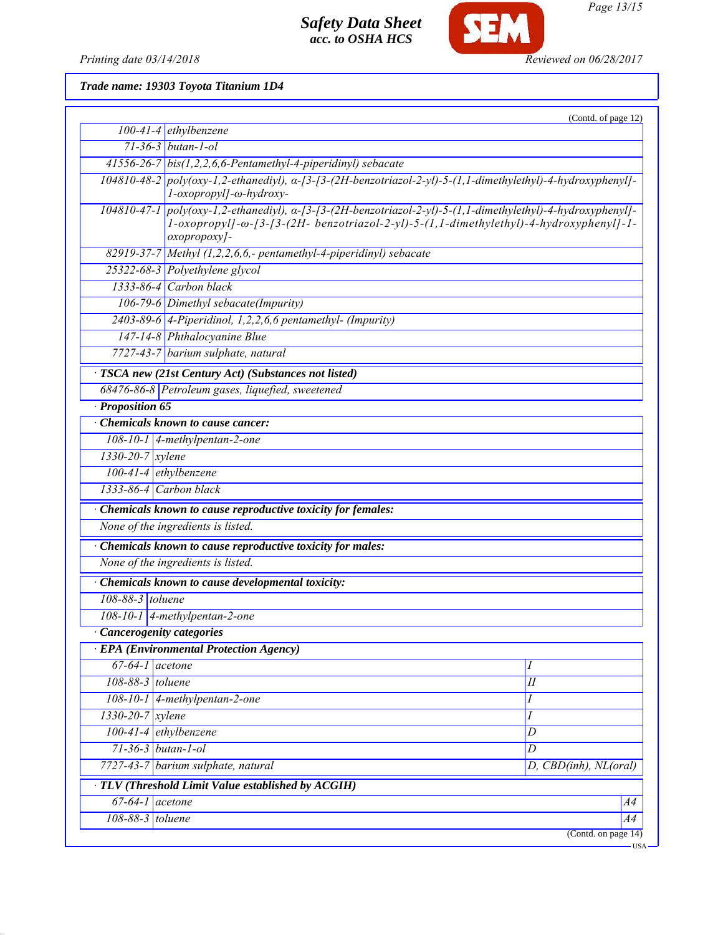

**SEM** 

*Page 13/15*

*Trade name: 19303 Toyota Titanium 1D4*

|                               |                                                                                                                                                                                                                        | (Contd. of page 12)   |  |
|-------------------------------|------------------------------------------------------------------------------------------------------------------------------------------------------------------------------------------------------------------------|-----------------------|--|
|                               | $100-41-4$ ethylbenzene                                                                                                                                                                                                |                       |  |
|                               | $71 - 36 - 3$ butan-1-ol                                                                                                                                                                                               |                       |  |
|                               | 41556-26-7 bis(1,2,2,6,6-Pentamethyl-4-piperidinyl) sebacate                                                                                                                                                           |                       |  |
|                               | 104810-48-2 poly(oxy-1,2-ethanediyl), a-[3-[3-(2H-benzotriazol-2-yl)-5-(1,1-dimethylethyl)-4-hydroxyphenyl]-<br>l-oxopropyl]-ω-hydroxy-                                                                                |                       |  |
|                               | 104810-47-1 poly(oxy-1,2-ethanediyl), a-[3-[3-(2H-benzotriazol-2-yl)-5-(1,1-dimethylethyl)-4-hydroxyphenyl]-<br>1-oxopropyl]-ω-[3-[3-(2H- benzotriazol-2-yl)-5-(1,1-dimethylethyl)-4-hydroxyphenyl]-1-<br>oxopropoxy]- |                       |  |
|                               | 82919-37-7 Methyl $(1,2,2,6,6,$ - pentamethyl-4-piperidinyl) sebacate                                                                                                                                                  |                       |  |
|                               | 25322-68-3 Polyethylene glycol                                                                                                                                                                                         |                       |  |
|                               | 1333-86-4 Carbon black                                                                                                                                                                                                 |                       |  |
|                               | 106-79-6 Dimethyl sebacate(Impurity)                                                                                                                                                                                   |                       |  |
|                               | $2403-89-6$ 4-Piperidinol, 1,2,2,6,6 pentamethyl- (Impurity)                                                                                                                                                           |                       |  |
|                               | 147-14-8 Phthalocyanine Blue                                                                                                                                                                                           |                       |  |
|                               | 7727-43-7 barium sulphate, natural                                                                                                                                                                                     |                       |  |
|                               | TSCA new (21st Century Act) (Substances not listed)                                                                                                                                                                    |                       |  |
|                               | 68476-86-8 Petroleum gases, liquefied, sweetened                                                                                                                                                                       |                       |  |
| · Proposition 65              |                                                                                                                                                                                                                        |                       |  |
|                               | <b>Chemicals known to cause cancer:</b>                                                                                                                                                                                |                       |  |
|                               | 108-10-1 $\vert$ 4-methylpentan-2-one                                                                                                                                                                                  |                       |  |
| $1330 - 20 - 7$ xylene        |                                                                                                                                                                                                                        |                       |  |
|                               | $100-41-4$ ethylbenzene                                                                                                                                                                                                |                       |  |
|                               | 1333-86-4 Carbon black                                                                                                                                                                                                 |                       |  |
|                               | · Chemicals known to cause reproductive toxicity for females:                                                                                                                                                          |                       |  |
|                               | None of the ingredients is listed.                                                                                                                                                                                     |                       |  |
|                               | Chemicals known to cause reproductive toxicity for males:                                                                                                                                                              |                       |  |
|                               | None of the ingredients is listed.                                                                                                                                                                                     |                       |  |
|                               | · Chemicals known to cause developmental toxicity:                                                                                                                                                                     |                       |  |
|                               | 108-88-3 toluene                                                                                                                                                                                                       |                       |  |
|                               | 108-10-1   4-methylpentan-2-one                                                                                                                                                                                        |                       |  |
|                               | · Cancerogenity categories                                                                                                                                                                                             |                       |  |
|                               | · EPA (Environmental Protection Agency)                                                                                                                                                                                |                       |  |
| $67-64-1$ acetone             |                                                                                                                                                                                                                        | Ι                     |  |
| 108-88-3 toluene              |                                                                                                                                                                                                                        | I                     |  |
|                               | 108-10-1 4-methylpentan-2-one                                                                                                                                                                                          | Ι                     |  |
| $1330 - 20 - 7$ <i>xylene</i> |                                                                                                                                                                                                                        | Ι                     |  |
|                               | $100-41-4$ ethylbenzene                                                                                                                                                                                                | $\overline{D}$        |  |
|                               | $71 - 36 - 3$ butan-1-ol                                                                                                                                                                                               | D                     |  |
|                               | 7727-43-7 barium sulphate, natural                                                                                                                                                                                     | D, CBD(inh), NL(oral) |  |
|                               | · TLV (Threshold Limit Value established by ACGIH)                                                                                                                                                                     |                       |  |
| $67-64-1$ acetone             |                                                                                                                                                                                                                        | A4                    |  |
| 108-88-3 toluene              |                                                                                                                                                                                                                        | A4                    |  |
|                               |                                                                                                                                                                                                                        | (Contd. on page 14)   |  |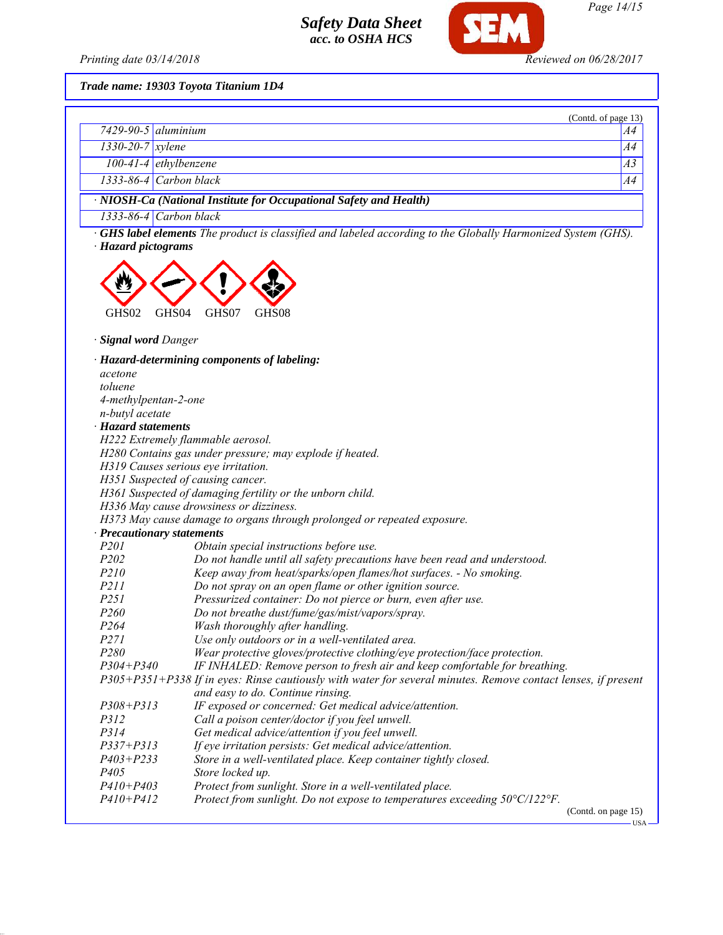

*Trade name: 19303 Toyota Titanium 1D4*

|                                                                    |                           | (Contd. of page 13) |  |
|--------------------------------------------------------------------|---------------------------|---------------------|--|
|                                                                    | $7429 - 90 - 5$ aluminium | A4                  |  |
| $1330 - 20 - 7$ xylene                                             |                           | A4                  |  |
|                                                                    | $100-41-4$ ethylbenzene   | A <sub>3</sub>      |  |
|                                                                    | $1333-86-4$ Carbon black  | A4                  |  |
| · NIOSH-Ca (National Institute for Occupational Safety and Health) |                           |                     |  |
|                                                                    | $1333-86-4$ Carbon black  |                     |  |

*· GHS label elements The product is classified and labeled according to the Globally Harmonized System (GHS). · Hazard pictograms*



*· Signal word Danger*

*· Hazard-determining components of labeling: acetone toluene 4-methylpentan-2-one n-butyl acetate · Hazard statements H222 Extremely flammable aerosol. H280 Contains gas under pressure; may explode if heated. H319 Causes serious eye irritation. H351 Suspected of causing cancer. H361 Suspected of damaging fertility or the unborn child. H336 May cause drowsiness or dizziness. H373 May cause damage to organs through prolonged or repeated exposure. · Precautionary statements P201 Obtain special instructions before use. P202 Do not handle until all safety precautions have been read and understood. P210 Keep away from heat/sparks/open flames/hot surfaces. - No smoking. P211 Do not spray on an open flame or other ignition source. P251 Pressurized container: Do not pierce or burn, even after use. P260 Do not breathe dust/fume/gas/mist/vapors/spray. P264 Wash thoroughly after handling. P271 Use only outdoors or in a well-ventilated area. P280 Wear protective gloves/protective clothing/eye protection/face protection. P304+P340 IF INHALED: Remove person to fresh air and keep comfortable for breathing. P305+P351+P338 If in eyes: Rinse cautiously with water for several minutes. Remove contact lenses, if present and easy to do. Continue rinsing. P308+P313 IF exposed or concerned: Get medical advice/attention. P312 Call a poison center/doctor if you feel unwell. P314 Get medical advice/attention if you feel unwell. P337+P313 If eye irritation persists: Get medical advice/attention. P403+P233 Store in a well-ventilated place. Keep container tightly closed. P405 Store locked up. P410+P403 Protect from sunlight. Store in a well-ventilated place. P410+P412 Protect from sunlight. Do not expose to temperatures exceeding 50°C/122°F.* (Contd. on page 15)

 $-<sub>USA</sub>$